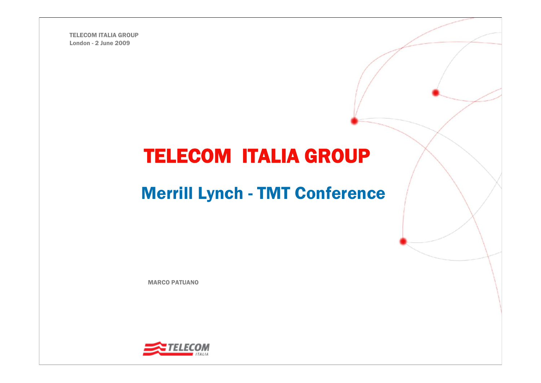TELECOM ITALIA GROUPLondon - 2 June 2009

# TELECOM ITALIA GROUP

# Merrill Lynch - TMT Conference

MARCO PATUANO

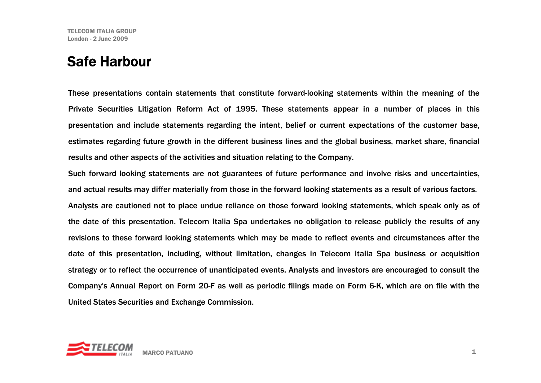### Safe Harbour

These presentations contain statements that constitute forward-looking statements within the meaning of the Private Securities Litigation Reform Act of 1995. These statements appear in a number of places in this presentation and include statements regarding the intent, belief or current expectations of the customer base, estimates regarding future growth in the different business lines and the global business, market share, financial results and other aspects of the activities and situation relating to the Company.

Such forward looking statements are not guarantees of future performance and involve risks and uncertainties, and actual results may differ materially from those in the forward looking statements as a result of various factors. Analysts are cautioned not to place undue reliance on those forward looking statements, which speak only as of the date of this presentation. Telecom Italia Spa undertakes no obligation to release publicly the results of any revisions to these forward looking statements which may be made to reflect events and circumstances after the date of this presentation, including, without limitation, changes in Telecom Italia Spa business or acquisition strategy or to reflect the occurrence of unanticipated events. Analysts and investors are encouraged to consult the Company's Annual Report on Form 20-F as well as periodic filings made on Form 6-K, which are on file with the United States Securities and Exchange Commission.

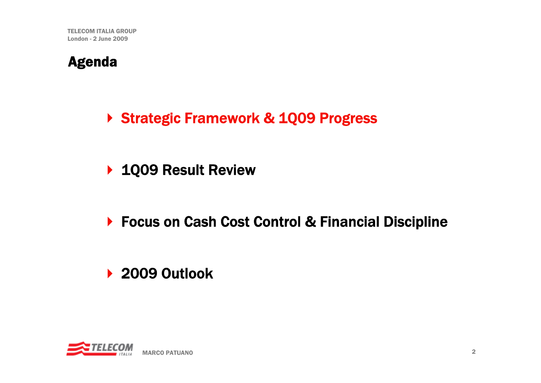### Agenda

- ▶ Strategic Framework & 1Q09 Progress
- ▶ 1Q09 Result Review
- ▶ Focus on Cash Cost Control & Financial Discipline

## ▶ 2009 Outlook

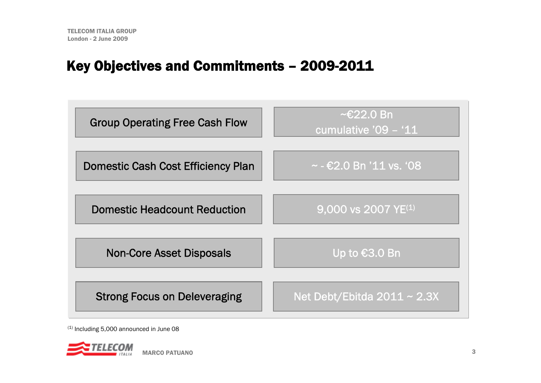### Key Objectives and Commitments – 2009-2011

| <b>Group Operating Free Cash Flow</b>     | $\sim$ €22.0 Bn<br>cumulative '09 - '11 |
|-------------------------------------------|-----------------------------------------|
|                                           |                                         |
| <b>Domestic Cash Cost Efficiency Plan</b> | $\sim$ - €2.0 Bn '11 vs. '08            |
| <b>Domestic Headcount Reduction</b>       | $9,000$ vs 2007 YE <sup>(1)</sup>       |
| <b>Non-Core Asset Disposals</b>           | Up to €3.0 Bn                           |
| <b>Strong Focus on Deleveraging</b>       | Net Debt/Ebitda $2011 \sim 2.3X$        |

 $(1)$  Including 5,000 announced in June 08

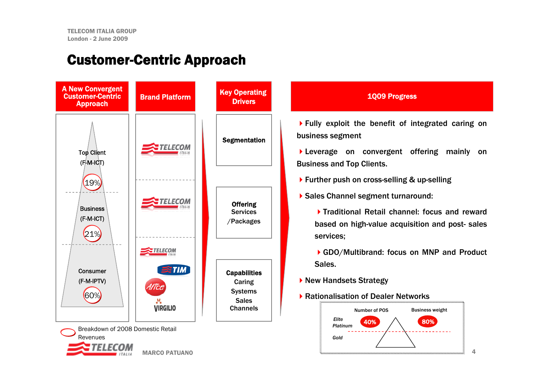#### Customer-Centric Approach



#### 1Q09 Progress

Fully exploit the benefit of integrated caring on business segment

Leverage on convergent offering mainly on Business and Top Clients.

- ▶ Further push on cross-selling & up-selling
- Sales Channel segment turnaround:

Traditional Retail channel: focus and reward based on high-value acquisition and post- sales services;

▶ GDO/Multibrand: focus on MNP and Product Sales.

- ▶ New Handsets Strategy
- ▶ Rationalisation of Dealer Networks

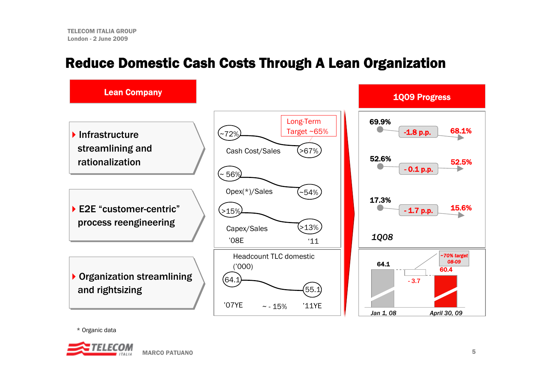### Reduce Domestic Cash Costs Through A Lean Organization



\* Organic data

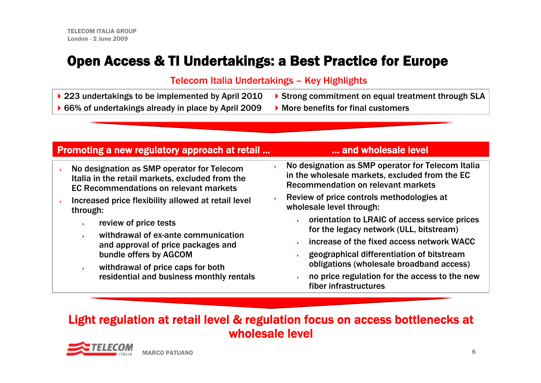### Open Access & TI Undertakings: a Best Practice for Europe

#### Telecom Italia Undertakings – Key Highlights

- ▶ 223 undertakings to be implemented by April 2010
- ▶ 66% of undertakings already in place by April 2009
- ▶ Strong commitment on equal treatment through SLA
- ▶ More benefits for final customers

#### Promoting a new regulatory approach at retail ... **Example 20 and wholesale level**

- ▶ No designation as SMP operator for Telecom Italia in the retail markets, excluded from the EC Recommendations on relevant markets
- ▶ Increased price flexibility allowed at retail level through:
	- ▶ review of price tests
	- ▶ withdrawal of ex-ante communication and approval of price packages and bundle offers by AGCOM
	- $\mathbf{F}$  withdrawal of price caps for both residential and business monthly rentals

- ▶ No designation as SMP operator for Telecom Italia in the wholesale markets, excluded from the EC Recommendation on relevant markets
- ▶ Review of price controls methodologies at wholesale level through:
	- ▶ orientation to LRAIC of access service prices for the legacy network (ULL, bitstream)
	- ▶ increase of the fixed access network WACC
	- ▶ geographical differentiation of bitstream obligations (wholesale broadband access)
	- ▶ no price regulation for the access to the new fiber infrastructures

#### Light regulation at retail level & regulation focus on access bottlenecks at wholesale level

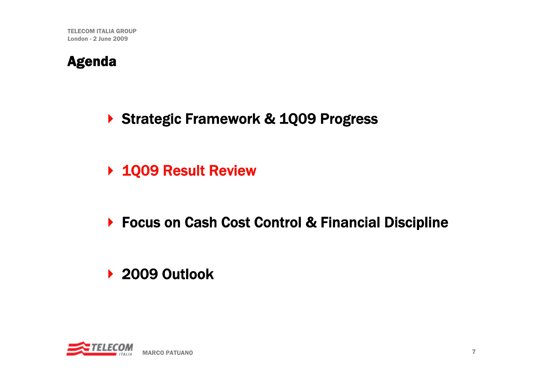### Agenda

- ▶ Strategic Framework & 1Q09 Progress
- ▶ 1Q09 Result Review
- ▶ Focus on Cash Cost Control & Financial Discipline

## ▶ 2009 Outlook

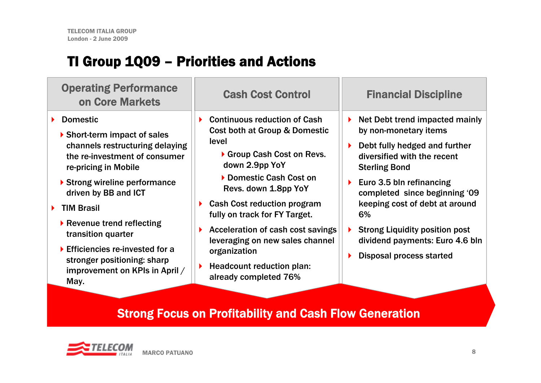## TI Group 1Q09 – Priorities and Actions

| <b>Operating Performance</b><br><b>on Core Markets</b>                                                                                                                                                                                                                                                                                                                                                                             | <b>Cash Cost Control</b>                                                                                                                                                                                                                                                                                                                                                                                                | <b>Financial Discipline</b>                                                                                                                                                                                                                                                                                                                                              |
|------------------------------------------------------------------------------------------------------------------------------------------------------------------------------------------------------------------------------------------------------------------------------------------------------------------------------------------------------------------------------------------------------------------------------------|-------------------------------------------------------------------------------------------------------------------------------------------------------------------------------------------------------------------------------------------------------------------------------------------------------------------------------------------------------------------------------------------------------------------------|--------------------------------------------------------------------------------------------------------------------------------------------------------------------------------------------------------------------------------------------------------------------------------------------------------------------------------------------------------------------------|
| <b>Domestic</b><br>▶ Short-term impact of sales<br>channels restructuring delaying<br>the re-investment of consumer<br>re-pricing in Mobile<br>▶ Strong wireline performance<br>driven by BB and ICT<br><b>TIM Brasil</b><br>$\blacktriangleright$ Revenue trend reflecting<br>transition quarter<br>$\blacktriangleright$ Efficiencies re-invested for a<br>stronger positioning: sharp<br>improvement on KPIs in April /<br>May. | <b>Continuous reduction of Cash</b><br>Cost both at Group & Domestic<br>level<br>Group Cash Cost on Revs.<br>down 2.9pp YoY<br>Domestic Cash Cost on<br>Revs. down 1.8pp YoY<br><b>Cash Cost reduction program</b><br>fully on track for FY Target.<br>Acceleration of cash cost savings<br>leveraging on new sales channel<br>organization<br>$\blacktriangleright$ Headcount reduction plan:<br>already completed 76% | Net Debt trend impacted mainly<br>▶<br>by non-monetary items<br>Debt fully hedged and further<br>diversified with the recent<br><b>Sterling Bond</b><br>Euro 3.5 bln refinancing<br>completed since beginning '09<br>keeping cost of debt at around<br>6%<br><b>Strong Liquidity position post</b><br>dividend payments: Euro 4.6 bln<br><b>Disposal process started</b> |
|                                                                                                                                                                                                                                                                                                                                                                                                                                    |                                                                                                                                                                                                                                                                                                                                                                                                                         |                                                                                                                                                                                                                                                                                                                                                                          |

#### Strong Focus on Profitability and Cash Flow Generation

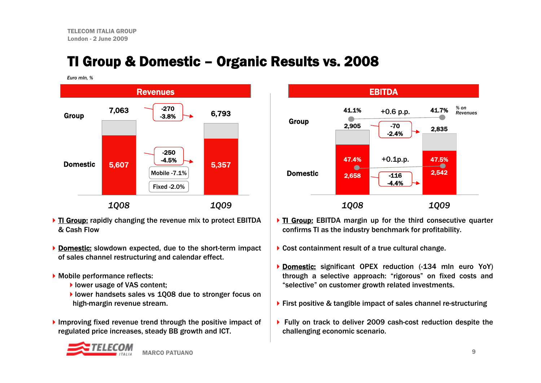### TI Group & Domestic – Organic Results vs. 2008

*Euro mln, %*



- ▶ TI Group: rapidly changing the revenue mix to protect EBITDA & Cash Flow
- **Domestic:** slowdown expected, due to the short-term impact of sales channel restructuring and calendar effect.
- Mobile performance reflects:
	- I lower usage of VAS content;
	- lower handsets sales vs 1Q08 due to stronger focus on high-margin revenue stream.
- Improving fixed revenue trend through the positive impact of regulated price increases, steady BB growth and ICT.



- If TI Group: EBITDA margin up for the third consecutive quarter confirms TI as the industry benchmark for profitability.
- ▶ Cost containment result of a true cultural change.
- **Domestic:** significant OPEX reduction (-134 mln euro YoY) through a selective approach: "rigorous" on fixed costs and "selective" on customer growth related investments.
- ▶ First positive & tangible impact of sales channel re-structuring
- ▶ Fully on track to deliver 2009 cash-cost reduction despite the challenging economic scenario.

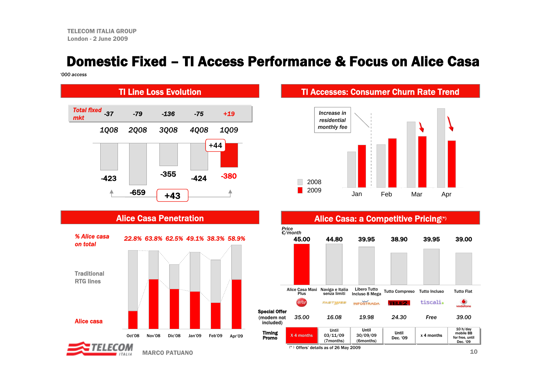#### Domestic Fixed – TI Access Performance & Focus on Alice Casa

*'000 access*



#### Alice Casa Penetration



MARCO PATUANO

#### TI Accesses: Consumer Churn Rate Trend





 $\sim$  10 (\* ) Offers' details as of 26 May 2009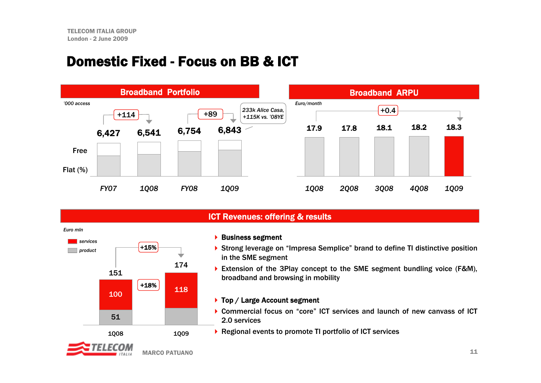#### Domestic Fixed - Focus on BB & ICT



#### ICT Revenues: offering & results

 $\blacktriangleright$  Business segment

- ▶ Strong leverage on "Impresa Semplice" brand to define TI distinctive position in the SME segment
- ▶ Extension of the 3Play concept to the SME segment bundling voice (F&M), broadband and browsing in mobility

#### ▶ Top / Large Account segment

- ▶ Commercial focus on "core" ICT services and launch of new canvass of ICT 2.0 services
- ▶ Regional events to promote TI portfolio of ICT services



*Euro mln*

*services*

*product* +15%

151

100

51

1Q08

174

118

1Q09

+18%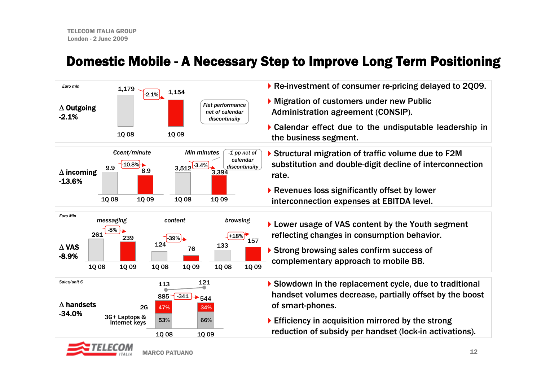#### Domestic Mobile - A Necessary Step to Improve Long Term Positioning

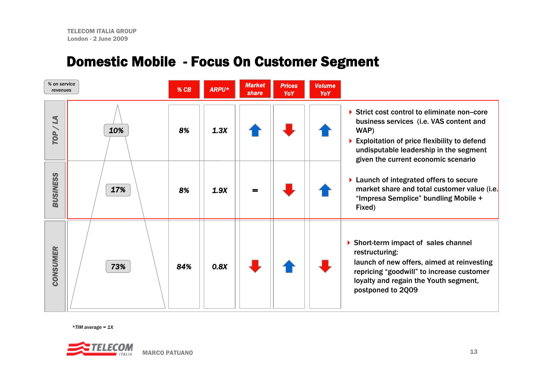## Domestic Mobile - Focus On Customer Segment

| % on service<br>revenues |     | $%$ CB | ARPU* | <b>Market</b><br>share | <b>Prices</b><br>YoY | <b>Volume</b><br>YoY |                                                                                                                                                                                                                              |
|--------------------------|-----|--------|-------|------------------------|----------------------|----------------------|------------------------------------------------------------------------------------------------------------------------------------------------------------------------------------------------------------------------------|
| N<br>TOP/                | 10% | 8%     | 1.3X  |                        |                      |                      | Strict cost control to eliminate non-core<br>business services (i.e. VAS content and<br>WAP)<br>Exploitation of price flexibility to defend<br>undisputable leadership in the segment<br>given the current economic scenario |
| <b>BUSINESS</b>          | 17% | 8%     | 1.9X  | $=$                    |                      |                      | ▶ Launch of integrated offers to secure<br>market share and total customer value (i.e.<br>"Impresa Semplice" bundling Mobile +<br>Fixed)                                                                                     |
| <b>CONSUMER</b>          | 73% | 84%    | 0.8X  |                        |                      |                      | Short-term impact of sales channel<br>restructuring:<br>launch of new offers, aimed at reinvesting<br>repricing "goodwill" to increase customer<br>loyalty and regain the Youth segment,<br>postponed to 2Q09                |

*\*TIM average = 1X*

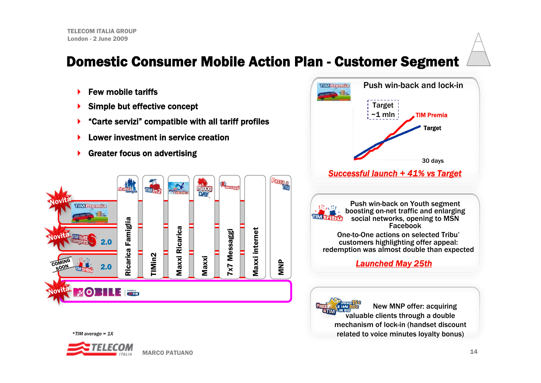### Domestic Consumer Mobile Action Plan - Customer Segment

- ▶ Few mobile tariffs
- ▶ Simple but effective concept
- ▶ "Carte servizi" compatible with all tariff profiles
- ▶ Lower investment in service creation
- ▶ Greater focus on advertising





*\*TIM average = 1X*

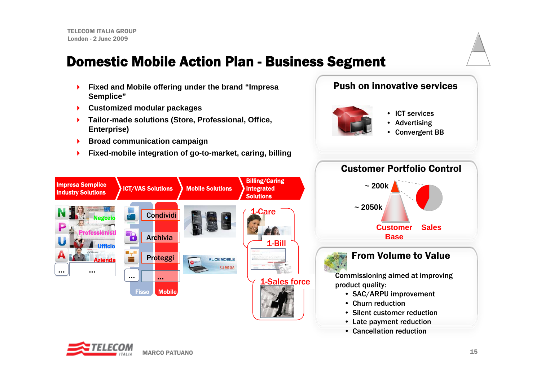### Domestic Mobile Action Plan - Business Segment

- ▶ **Fixed and Mobile offering under the brand "Impresa Semplice"**
- Þ. **Customized modular packages**
- ь **Tailor-made solutions (Store, Professional, Office, Enterprise)**
- ¥. **Broad communication campaign**
- × **Fixed-mobile integration of go-to-market, caring, billing**

#### Push on innovative services



- ICT services
- Advertising
- Convergent BB



#### From Volume to Value

Commissioning aimed at improving product quality:

- SAC/ARPU improvement
- Churn reduction
- Silent customer reduction
- Late payment reduction
- Cancellation reduction



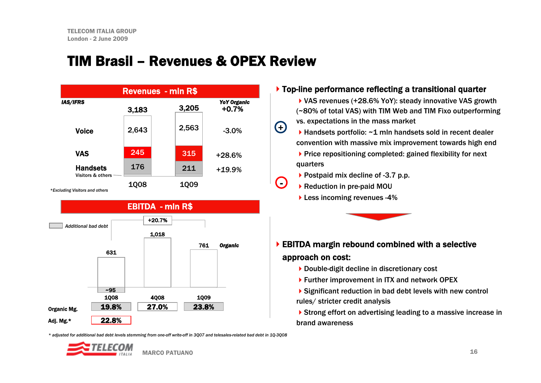### TIM Brasil – Revenues & OPEX Review





#### Top-line performance reflecting a transitional quarter

- ▶ VAS revenues (+28.6% YoY): steady innovative VAS growth (~80% of total VAS) with TIM Web and TIM Fixo outperforming vs. expectations in the mass market
- ▶ Handsets portfolio: ~1 mln handsets sold in recent dealer convention with massive mix improvement towards high end
	- ▶ Price repositioning completed: gained flexibility for next quarters
	- ▶ Postpaid mix decline of -3.7 p.p.
- ▶ Reduction in pre-paid MOU

+

 $\bigodot$ 

**Less incoming revenues -4%** 



#### EBITDA margin rebound combined with a selective approach on cost:

- ▶ Double-digit decline in discretionary cost
- ▶ Further improvement in ITX and network OPEX
- Significant reduction in bad debt levels with new control rules/ stricter credit analysis

▶ Strong effort on advertising leading to a massive increase in brand awareness

\* adjusted for additional bad debt levels stemming from one-off write-off in 3007 and telesales-related bad debt in 10-3008

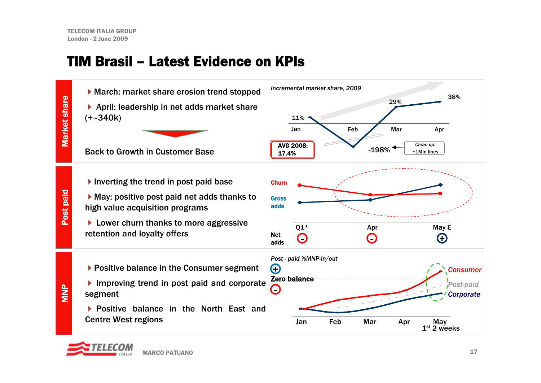### TIM Brasil – Latest Evidence on KPIs



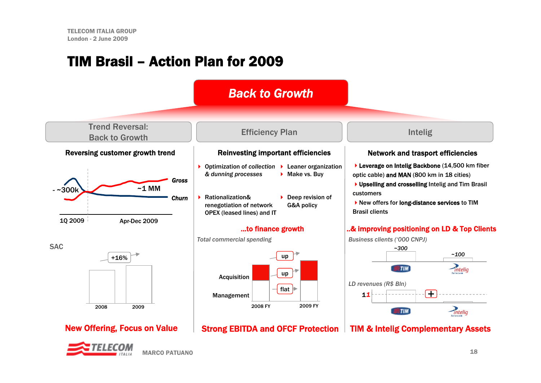### TIM Brasil – Action Plan for 2009

#### *Back to Growth*



Trend Reversal:



**SAC** 

# MARCO PATUANO

#### Efficiency Plan Intelig

#### Reinvesting important efficiencies | Network and trasport efficiencies

- ▶ Optimization of *collection* ▶ Leaner organization *& dunning processes*  $\blacktriangleright$  Make vs. Buy
- ▶ Rationalization& renegotiation of network OPEX (leased lines) and IT
- $\triangleright$  Deep revision of G&A policy

#### ...to finance growth



#### New Offering, Focus on Value | Strong EBITDA and OFCF Protection



▶ Leverage on Intelig Backbone (14,500 km fiber optic cable) and MAN (800 km in 18 cities)

▶ Upselling and crosselling Intelig and Tim Brasil customers

▶ New offers for long-distance services to TIM Brasil clients

#### ..& improving positioning on LD & Top Clients



TIM & Intelig Complementary Assets

*Total commercial spending*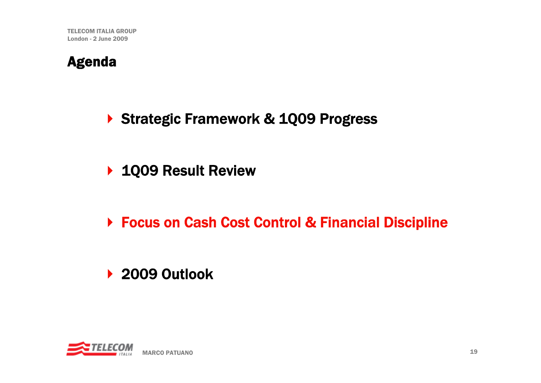### Agenda

- ▶ Strategic Framework & 1Q09 Progress
- ▶ 1Q09 Result Review
- ▶ Focus on Cash Cost Control & Financial Discipline

## ▶ 2009 Outlook

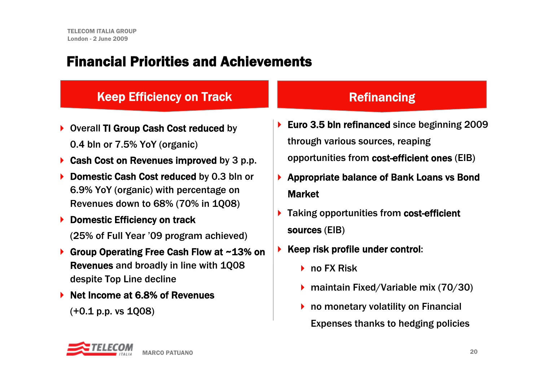### Financial Priorities and Achievements

#### Keep Efficiency on Track

- ▶ Overall TI Group Cash Cost reduced by 0.4 bln or 7.5% YoY (organic)
- $\blacktriangleright$ Cash Cost on Revenues improved by 3 p.p.
- $\blacktriangleright$  Domestic Cash Cost reduced by 0.3 bln or 6.9% YoY (organic) with percentage on Revenues down to 68% (70% in 1Q08)
- $\blacktriangleright$  Domestic Efficiency on track (25% of Full Year '09 program achieved)
- $\blacktriangleright$  Group Operating Free Cash Flow at ~13% on Revenues and broadly in line with 1Q08 despite Top Line decline
- ▶ Net Income at 6.8% of Revenues

(+0.1 p.p. vs 1Q08)

#### **Refinancing**

- ▶ Euro 3.5 bln refinanced since beginning 2009 through various sources, reaping opportunities from cost-efficient ones (EIB)
- ▶ Appropriate balance of Bank Loans vs Bond Market
- ▶ Taking opportunities from cost-efficient sources (EIB)
- $\blacktriangleright$  Keep risk profile under control:
	- **▶ no FX Risk**
	- ▶ maintain Fixed/Variable mix (70/30)
	- ▶ no monetary volatility on Financial Expenses thanks to hedging policies

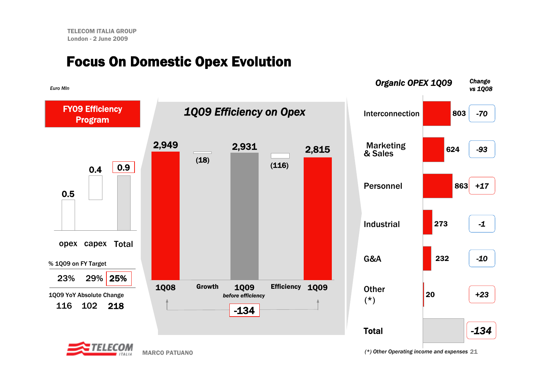### Focus On Domestic Opex Evolution





MARCO PATUANO

21 *(\*) Other Operating income and expenses*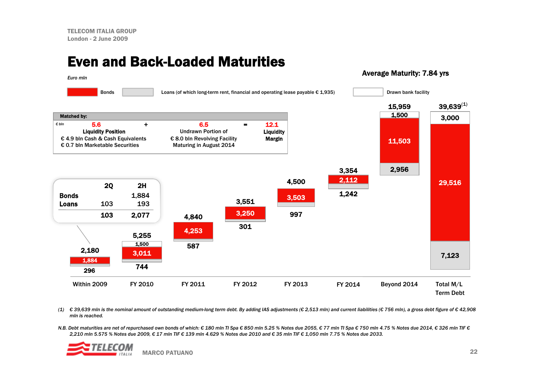#### Even and Back-Loaded Maturities

#### Average Maturity: 7.84 yrs



(1) € 39,639 mln is the nominal amount of outstanding medium-long term debt. By adding IAS adjustments (€ 2,513 mln) and current liabilities (€ 756 mln), a gross debt figure of € 42,908 *mln is reached.*

N.B. Debt maturities are net of repurchased own bonds of which: € 180 mln Tl Spa € 850 mln 5.25 % Notes due 2055, € 77 mln Tl Spa € 750 mln 4.75 % Notes due 2014, € 326 mln TlF € 2.210 mln 5.575 % Notes due 2009. € 17 mln TIF € 139 mln 4.629 % Notes due 2010 and € 35 mln TIF € 1.050 mln 7.75 % Notes due 2033.

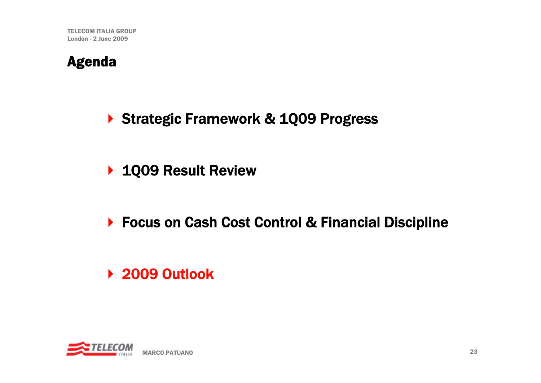### Agenda

▶ Strategic Framework & 1Q09 Progress

- ▶ 1Q09 Result Review
- ▶ Focus on Cash Cost Control & Financial Discipline
- ▶ 2009 Outlook

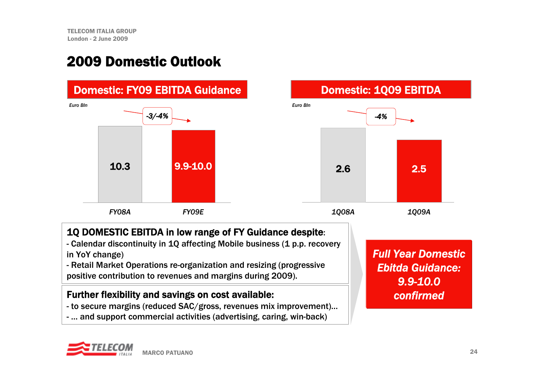### 2009 Domestic Outlook



- Retail Market Operations re-organization and resizing (progressive positive contribution to revenues and margins during 2009).

#### Further flexibility and savings on cost available:

- to secure margins (reduced SAC/gross, revenues mix improvement)…
- … and support commercial activities (advertising, caring, win-back)

*Full Year Domestic Ebitda Guidance:9.9-10.0confirmed*